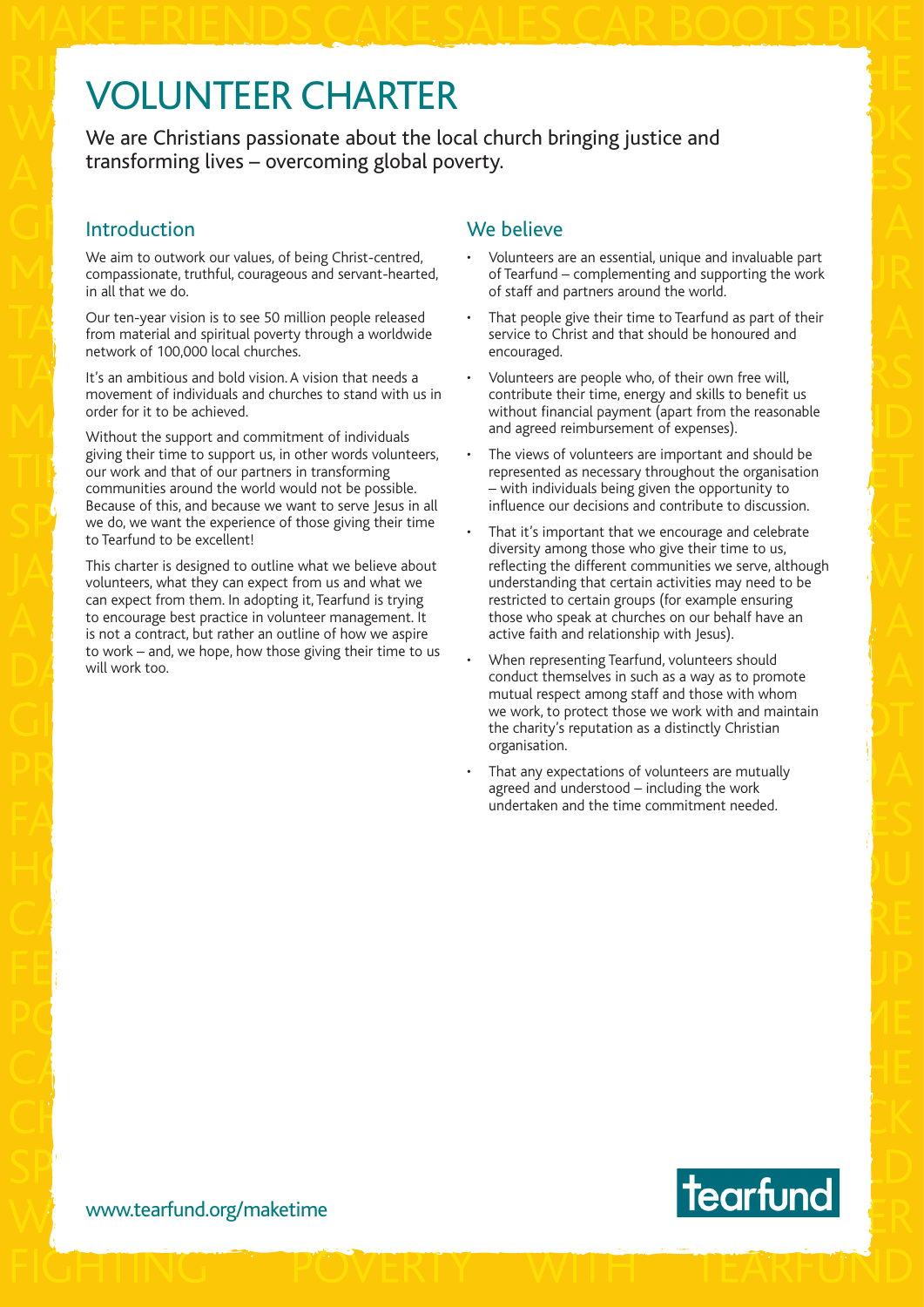# VOLUNTEER CHARTER

We are Christians passionate about the local church bringing justice and transforming lives – overcoming global poverty.

### Introduction

We aim to outwork our values, of being Christ-centred, compassionate, truthful, courageous and servant-hearted, in all that we do.

Our ten-year vision is to see 50 million people released from material and spiritual poverty through a worldwide network of 100,000 local churches.

It's an ambitious and bold vision. A vision that needs a movement of individuals and churches to stand with us in order for it to be achieved.

Without the support and commitment of individuals giving their time to support us, in other words volunteers, our work and that of our partners in transforming communities around the world would not be possible. Because of this, and because we want to serve Jesus in all we do, we want the experience of those giving their time to Tearfund to be excellent!

This charter is designed to outline what we believe about volunteers, what they can expect from us and what we can expect from them. In adopting it, Tearfund is trying to encourage best practice in volunteer management. It is not a contract, but rather an outline of how we aspire to work – and, we hope, how those giving their time to us will work too.

## We believe

- Volunteers are an essential, unique and invaluable part of Tearfund – complementing and supporting the work of staff and partners around the world.
- That people give their time to Tearfund as part of their service to Christ and that should be honoured and encouraged.
- Volunteers are people who, of their own free will, contribute their time, energy and skills to benefit us without financial payment (apart from the reasonable and agreed reimbursement of expenses).
- The views of volunteers are important and should be represented as necessary throughout the organisation – with individuals being given the opportunity to influence our decisions and contribute to discussion.
- That it's important that we encourage and celebrate diversity among those who give their time to us, reflecting the different communities we serve, although understanding that certain activities may need to be restricted to certain groups (for example ensuring those who speak at churches on our behalf have an active faith and relationship with Jesus).
- When representing Tearfund, volunteers should conduct themselves in such as a way as to promote mutual respect among staff and those with whom we work, to protect those we work with and maintain the charity's reputation as a distinctly Christian organisation.
- That any expectations of volunteers are mutually agreed and understood – including the work undertaken and the time commitment needed.